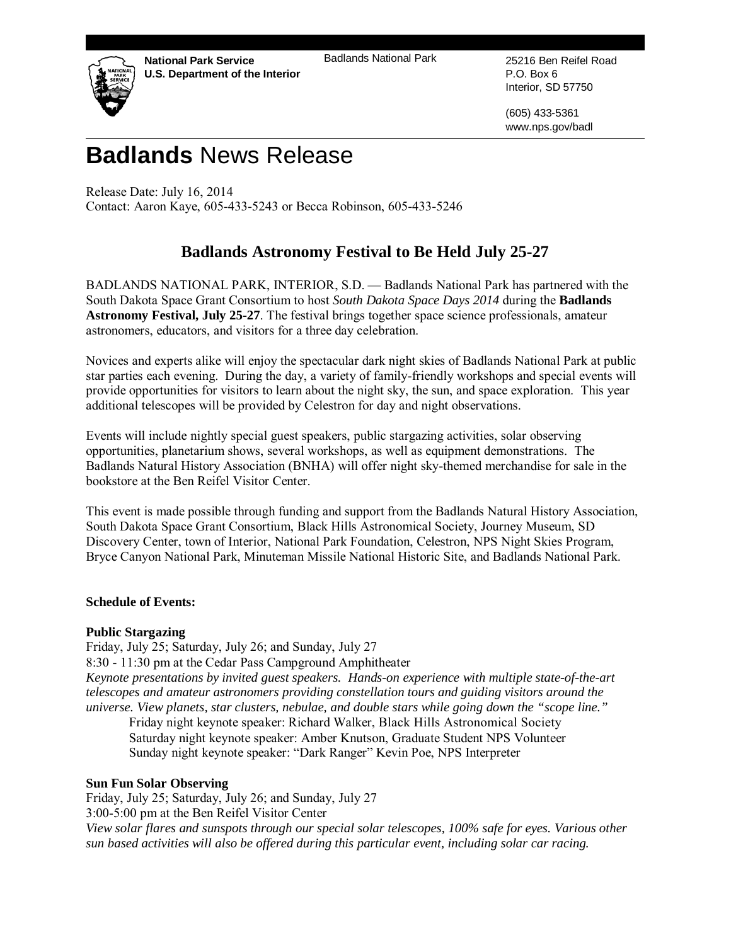**National Park Service U.S. Department of the Interior** Badlands National Park 25216 Ben Reifel Road



P.O. Box 6 Interior, SD 57750

(605) 433-5361 www.nps.gov/badl

# **Badlands** News Release

Release Date: July 16, 2014 Contact: Aaron Kaye, 605-433-5243 or Becca Robinson, 605-433-5246

# **Badlands Astronomy Festival to Be Held July 25-27**

BADLANDS NATIONAL PARK, INTERIOR, S.D. — Badlands National Park has partnered with the South Dakota Space Grant Consortium to host *South Dakota Space Days 2014* during the **Badlands Astronomy Festival, July 25-27**. The festival brings together space science professionals, amateur astronomers, educators, and visitors for a three day celebration.

Novices and experts alike will enjoy the spectacular dark night skies of Badlands National Park at public star parties each evening. During the day, a variety of family-friendly workshops and special events will provide opportunities for visitors to learn about the night sky, the sun, and space exploration. This year additional telescopes will be provided by Celestron for day and night observations.

Events will include nightly special guest speakers, public stargazing activities, solar observing opportunities, planetarium shows, several workshops, as well as equipment demonstrations. The Badlands Natural History Association (BNHA) will offer night sky-themed merchandise for sale in the bookstore at the Ben Reifel Visitor Center.

This event is made possible through funding and support from the Badlands Natural History Association, South Dakota Space Grant Consortium, Black Hills Astronomical Society, Journey Museum, SD Discovery Center, town of Interior, National Park Foundation, Celestron, NPS Night Skies Program, Bryce Canyon National Park, Minuteman Missile National Historic Site, and Badlands National Park.

## **Schedule of Events:**

#### **Public Stargazing**

Friday, July 25; Saturday, July 26; and Sunday, July 27 8:30 - 11:30 pm at the Cedar Pass Campground Amphitheater *Keynote presentations by invited guest speakers. Hands-on experience with multiple state-of-the-art telescopes and amateur astronomers providing constellation tours and guiding visitors around the universe. View planets, star clusters, nebulae, and double stars while going down the "scope line."*

Friday night keynote speaker: Richard Walker, Black Hills Astronomical Society Saturday night keynote speaker: Amber Knutson, Graduate Student NPS Volunteer Sunday night keynote speaker: "Dark Ranger" Kevin Poe, NPS Interpreter

## **Sun Fun Solar Observing**

Friday, July 25; Saturday, July 26; and Sunday, July 27 3:00-5:00 pm at the Ben Reifel Visitor Center *View solar flares and sunspots through our special solar telescopes, 100% safe for eyes. Various other sun based activities will also be offered during this particular event, including solar car racing.*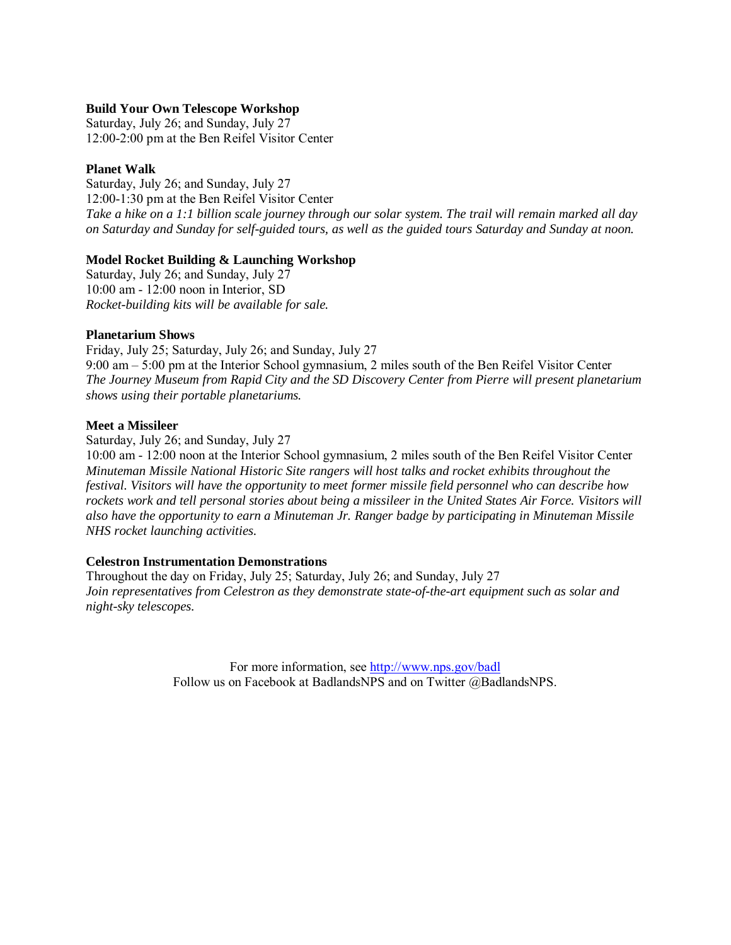#### **Build Your Own Telescope Workshop**

Saturday, July 26; and Sunday, July 27 12:00-2:00 pm at the Ben Reifel Visitor Center

#### **Planet Walk**

Saturday, July 26; and Sunday, July 27 12:00-1:30 pm at the Ben Reifel Visitor Center *Take a hike on a 1:1 billion scale journey through our solar system. The trail will remain marked all day on Saturday and Sunday for self-guided tours, as well as the guided tours Saturday and Sunday at noon.*

#### **Model Rocket Building & Launching Workshop**

Saturday, July 26; and Sunday, July 27 10:00 am - 12:00 noon in Interior, SD *Rocket-building kits will be available for sale.*

#### **Planetarium Shows**

Friday, July 25; Saturday, July 26; and Sunday, July 27 9:00 am – 5:00 pm at the Interior School gymnasium, 2 miles south of the Ben Reifel Visitor Center *The Journey Museum from Rapid City and the SD Discovery Center from Pierre will present planetarium shows using their portable planetariums.*

#### **Meet a Missileer**

Saturday, July 26; and Sunday, July 27

10:00 am - 12:00 noon at the Interior School gymnasium, 2 miles south of the Ben Reifel Visitor Center *Minuteman Missile National Historic Site rangers will host talks and rocket exhibits throughout the festival. Visitors will have the opportunity to meet former missile field personnel who can describe how rockets work and tell personal stories about being a missileer in the United States Air Force. Visitors will also have the opportunity to earn a Minuteman Jr. Ranger badge by participating in Minuteman Missile NHS rocket launching activities.*

#### **Celestron Instrumentation Demonstrations**

Throughout the day on Friday, July 25; Saturday, July 26; and Sunday, July 27 *Join representatives from Celestron as they demonstrate state-of-the-art equipment such as solar and night-sky telescopes.*

> For more information, see<http://www.nps.gov/badl> Follow us on Facebook at BadlandsNPS and on Twitter @BadlandsNPS.